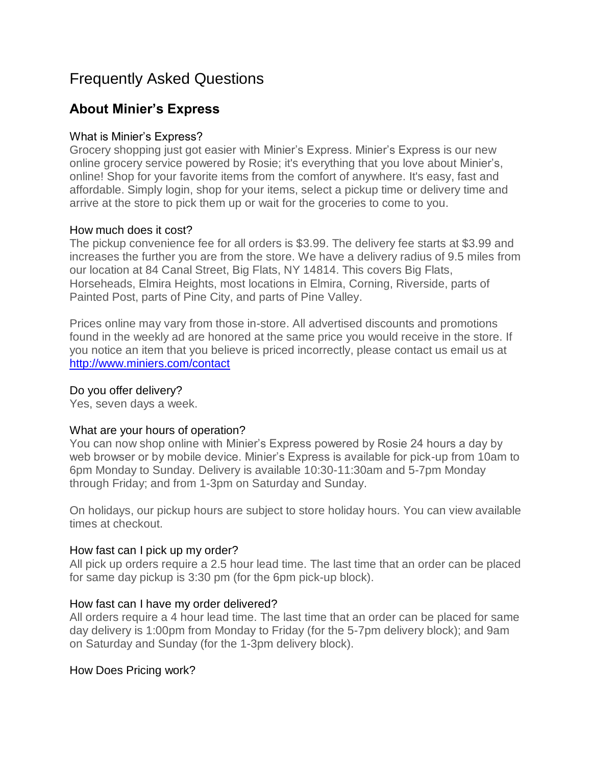# Frequently Asked Questions

## **About Minier's Express**

## What is Minier's Express?

Grocery shopping just got easier with Minier's Express. Minier's Express is our new online grocery service powered by Rosie; it's everything that you love about Minier's, online! Shop for your favorite items from the comfort of anywhere. It's easy, fast and affordable. Simply login, shop for your items, select a pickup time or delivery time and arrive at the store to pick them up or wait for the groceries to come to you.

#### How much does it cost?

The pickup convenience fee for all orders is \$3.99. The delivery fee starts at \$3.99 and increases the further you are from the store. We have a delivery radius of 9.5 miles from our location at 84 Canal Street, Big Flats, NY 14814. This covers Big Flats, Horseheads, Elmira Heights, most locations in Elmira, Corning, Riverside, parts of Painted Post, parts of Pine City, and parts of Pine Valley.

Prices online may vary from those in-store. All advertised discounts and promotions found in the weekly ad are honored at the same price you would receive in the store. If you notice an item that you believe is priced incorrectly, please contact us email us at <http://www.miniers.com/contact>

#### Do you offer delivery?

Yes, seven days a week.

## What are your hours of operation?

You can now shop online with Minier's Express powered by Rosie 24 hours a day by web browser or by mobile device. Minier's Express is available for pick-up from 10am to 6pm Monday to Sunday. Delivery is available 10:30-11:30am and 5-7pm Monday through Friday; and from 1-3pm on Saturday and Sunday.

On holidays, our pickup hours are subject to store holiday hours. You can view available times at checkout.

## How fast can I pick up my order?

All pick up orders require a 2.5 hour lead time. The last time that an order can be placed for same day pickup is 3:30 pm (for the 6pm pick-up block).

#### How fast can I have my order delivered?

All orders require a 4 hour lead time. The last time that an order can be placed for same day delivery is 1:00pm from Monday to Friday (for the 5-7pm delivery block); and 9am on Saturday and Sunday (for the 1-3pm delivery block).

## How Does Pricing work?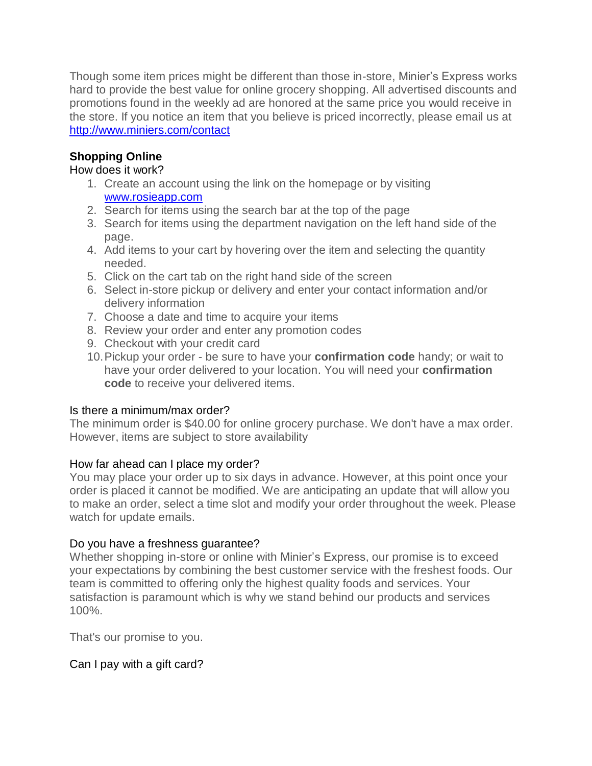Though some item prices might be different than those in-store, Minier's Express works hard to provide the best value for online grocery shopping. All advertised discounts and promotions found in the weekly ad are honored at the same price you would receive in the store. If you notice an item that you believe is priced incorrectly, please email us at <http://www.miniers.com/contact>

## **Shopping Online**

#### How does it work?

- 1. Create an account using the link on the homepage or by visiting [www.rosieapp.com](http://www.rosieapp.com/)
- 2. Search for items using the search bar at the top of the page
- 3. Search for items using the department navigation on the left hand side of the page.
- 4. Add items to your cart by hovering over the item and selecting the quantity needed.
- 5. Click on the cart tab on the right hand side of the screen
- 6. Select in-store pickup or delivery and enter your contact information and/or delivery information
- 7. Choose a date and time to acquire your items
- 8. Review your order and enter any promotion codes
- 9. Checkout with your credit card
- 10.Pickup your order be sure to have your **confirmation code** handy; or wait to have your order delivered to your location. You will need your **confirmation code** to receive your delivered items.

## Is there a minimum/max order?

The minimum order is \$40.00 for online grocery purchase. We don't have a max order. However, items are subject to store availability

## How far ahead can I place my order?

You may place your order up to six days in advance. However, at this point once your order is placed it cannot be modified. We are anticipating an update that will allow you to make an order, select a time slot and modify your order throughout the week. Please watch for update emails.

## Do you have a freshness guarantee?

Whether shopping in-store or online with Minier's Express, our promise is to exceed your expectations by combining the best customer service with the freshest foods. Our team is committed to offering only the highest quality foods and services. Your satisfaction is paramount which is why we stand behind our products and services 100%.

That's our promise to you.

## Can I pay with a gift card?